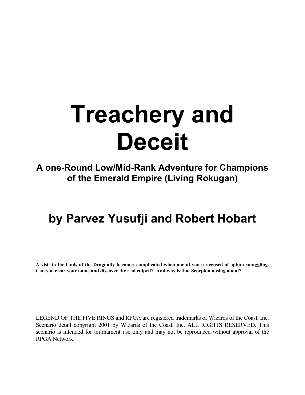# **Treachery and Deceit**

**A one-Round Low/Mid-Rank Adventure for Champions of the Emerald Empire (Living Rokugan)** 

# **by Parvez Yusufji and Robert Hobart**

**A visit to the lands of the Dragonfly becomes complicated when one of you is accused of opium smuggling. Can you clear your name and discover the real culprit? And why is that Scorpion nosing about?** 

LEGEND OF THE FIVE RINGS and RPGA are registered trademarks of Wizards of the Coast, Inc. Scenario detail copyright 2001 by Wizards of the Coast, Inc. ALL RIGHTS RESERVED. This scenario is intended for tournament use only and may not be reproduced without approval of the RPGA Network.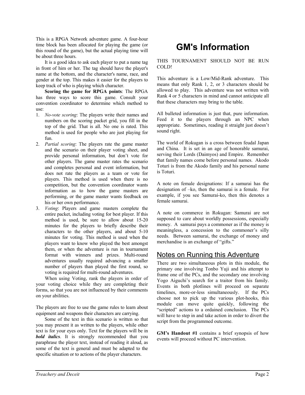This is a RPGA Network adventure game. A four-hour time block has been allocated for playing the game (or this round of the game), but the actual playing time will be about three hours.

It is a good idea to ask each player to put a name tag in front of him or her. The tag should have the player's name at the bottom, and the character's name, race, and gender at the top. This makes it easier for the players to keep track of who is playing which character.

**Scoring the game for RPGA points**: The RPGA has three ways to score this game. Consult your convention coordinator to determine which method to use:

- 1. *No-vote scoring*: The players write their names and numbers on the scoring packet grid, you fill in the top of the grid. That is all. No one is rated. This method is used for people who are just playing for fun.
- 2. *Partial scoring*: The players rate the game master and the scenario on their player voting sheet, and provide personal information, but don't vote for other players. The game master rates the scenario and completes personal and event information, but does not rate the players as a team or vote for players. This method is used when there is no competition, but the convention coordinator wants information as to how the game masters are performing, or the game master wants feedback on his or her own performance.
- 3. *Voting*: Players and game masters complete the entire packet, including voting for best player. If this method is used, be sure to allow about 15-20 minutes for the players to briefly describe their characters to the other players, and about 5-10 minutes for voting. This method is used when the players want to know who played the best amongst them, or when the adventure is run in tournament format with winners and prizes. Multi-round adventures usually required advancing a smaller number of players than played the first round, so voting is required for multi-round adventures.

When using Voting, rank the players in order of your voting choice while they are completing their forms, so that you are not influenced by their comments on your abilities.

The players are free to use the game rules to learn about equipment and weapons their characters are carrying.

Some of the text in this scenario is written so that you may present it as written to the players, while other text is for your eyes only. Text for the players will be in *bold italics*. It is strongly recommended that you paraphrase the player text, instead of reading it aloud, as some of the text is general and must be adapted to the specific situation or to actions of the player characters.

# **GM's Information**

#### THIS TOURNAMENT SHOULD NOT BE RUN COLD!

This adventure is a Low/Mid-Rank adventure. This means that only Rank 1, 2, or 3 characters should be allowed to play. This adventure was not written with Rank 4 or 5 characters in mind and cannot anticipate all that these characters may bring to the table.

All bulleted information is just that, pure information. Feed it to the players through an NPC when appropriate. Sometimes, reading it straight just doesn't sound right.

The world of Rokugan is a cross between feudal Japan and China. It is set in an age of honorable samurai, serving their Lords (Daimyos) and Empire. Remember that family names come before personal names. Akodo Toturi is from the Akodo family and his personal name is Toturi.

A note on female designations: If a samurai has the designation of –ko, then the samurai is a female. For example, if you see Samurai-ko, then this denotes a female samurai.

A note on commerce in Rokugan: Samurai are not supposed to care about worldly possessions, especially money. A samurai pays a commoner as if the money is meaningless, a concession to the commoner's silly needs. Between samurai, the exchange of money and merchandise is an exchange of "gifts."

# Notes on Running this Adventure

There are two simultaneous plots in this module, the primary one involving Tonbo Yuji and his attempt to frame one of the PCs, and the secondary one involving Yogo Aiguchi's search for a traitor from his family. Events in both plotlines will proceed on separate timelines, more-or-less simultaneously. If the PCs choose not to pick up the various plot-hooks, this module can move quite quickly, following the "scripted" actions to a ordained conclusion. The PCs will have to step in and take action in order to divert the script from the programmed outcome.

**GM's Handout #1** contains a brief synopsis of how events will proceed without PC intervention.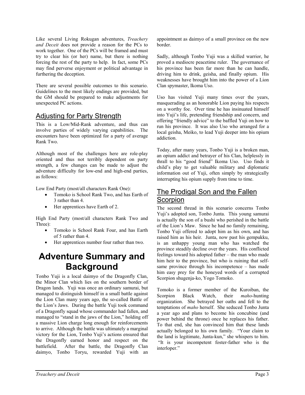Like several Living Rokugan adventures, *Treachery and Deceit* does not provide a reason for the PCs to work together. One of the PCs will be framed and must try to clear his (or her) name, but there is nothing forcing the rest of the party to help. In fact, some PCs may find perverse enjoyment or political advantage in furthering the deception.

There are several possible outcomes to this scenario. Guidelines to the most likely endings are provided, but the GM should be prepared to make adjustments for unexpected PC actions.

### Adjusting for Party Strength

This is a Low/Mid-Rank adventure, and thus can involve parties of widely varying capabilities. The encounters have been optimized for a party of average Rank Two.

Although most of the challenges here are role-play oriented and thus not terribly dependent on party strength, a few changes can be made to adjust the adventure difficulty for low-end and high-end parties, as follows:

Low End Party (most/all characters Rank One):

- Tomoko is School Rank Two, and has Earth of 3 rather than 4.
- Her apprentices have Earth of 2.

High End Party (most/all characters Rank Two and Three):

- Tomoko is School Rank Four, and has Earth of 5 rather than 4.
- Her apprentices number four rather than two.

# **Adventure Summary and Background**

Tonbo Yuji is a local daimyo of the Dragonfly Clan, the Minor Clan which lies on the southern border of Dragon lands. Yuji was once an ordinary samurai, but managed to distinguish himself in a small battle against the Lion Clan many years ago, the so-called Battle of the Lion's Jaws. During the battle Yuji took command of a Dragonfly squad whose commander had fallen, and managed to "stand in the jaws of the Lion," holding off a massive Lion charge long enough for reinforcements to arrive. Although the battle was ultimately a marginal victory for the Lion, Tonbo Yuji's actions ensured that the Dragonfly earned honor and respect on the battlefield. After the battle, the Dragonfly Clan daimyo, Tonbo Toryu, rewarded Yuji with an appointment as daimyo of a small province on the new border.

Sadly, although Tonbo Yuji was a skilled warrior, he proved a mediocre peacetime ruler. The governance of his province has been far more than he can handle, driving him to drink, geisha, and finally opium. His weaknesses have brought him into the power of a Lion Clan spymaster, Ikoma Uso.

Uso has visited Yuji many times over the years, masquerading as an honorable Lion paying his respects on a worthy foe. Over time he has insinuated himself into Yuji's life, pretending friendship and concern, and offering "friendly advice" to the baffled Yuji on how to run his province. It was also Uso who arranged for a local geisha, Meiko, to lead Yuji deeper into his opium addiction.

Today, after many years, Tonbo Yuji is a broken man, an opium addict and betrayer of his Clan, helplessly in thrall to his "good friend" Ikoma Uso. Uso finds it child's play to get valuable military and diplomatic information out of Yuji, often simply by strategically interrupting his opium supply from time to time.

# The Prodigal Son and the Fallen **Scorpion**

The second thread in this scenario concerns Tonbo Yuji's adopted son, Tonbo Junta. This young samurai is actually the son of a bushi who perished in the battle of the Lion's Maw. Since he had no family remaining, Tonbo Yuji offered to adopt him as his own, and has raised him as his heir. Junta, now past his gempukku, is an unhappy young man who has watched the province steadily decline over the years. His conflicted feelings toward his adopted father – the man who made him heir to the province, but who is ruining that selfsame province through his incompetence – has made him easy prey for the honeyed words of a corrupted Scorpion shugenja-ko, Yogo Tomoko.

Tomoko is a former member of the Kuroiban, the Scorpion Black Watch, their *maho*-hunting organization. She betrayed her oaths and fell to the temptations of *maho* herself. She seduced Tonbo Junta a year ago and plans to become his concubine (and power behind the throne) once he replaces his father. To that end, she has convinced him that these lands actually belonged to his own family. "Your claim to the land is legitimate, Junta-kun," she whispers to him. "It is your incompetent foster-father who is the interloper."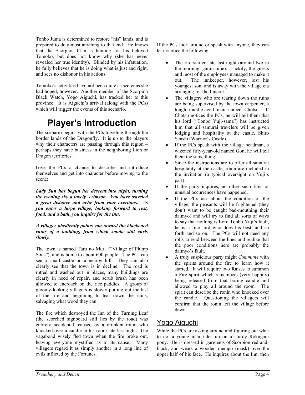Tonbo Junta is determined to restore "his" lands, and is prepared to do almost anything to that end. He knows that the Scorpion Clan is hunting for his beloved Tomoko, but does not know why (she has never revealed her true identity). Blinded by his infatuation, he fully believes that he is doing what is just and right, and sees no dishonor in his actions.

Tomoko's activities have not been quite as secret as she had hoped, however. Another member of the Scorpion Black Watch, Yogo Aiguchi, has tracked her to this province. It is Aiguchi's arrival (along with the PCs) which will trigger the events of this scenario.

# **Player's Introduction**

The scenario begins with the PCs traveling through the border lands of the Dragonfly. It is up to the players why their characters are passing through this region – perhaps they have business in the neighboring Lion or Dragon territories.

Give the PCs a chance to describe and introduce themselves and get into character before moving to the scene:

*Lady Sun has begun her descent into night, turning the evening sky a lovely crimson. You have traveled a great distance and ache from your exertions. As you enter a large village, looking forward to rest, food, and a bath, you inquire for the inn.* 

*A villager obediently points you toward the blackened ruins of a building, from which smoke still curls slowly.* 

The town is named Taro no Mura ("Village of Plump Sons"), and is home to about 600 people. The PCs can see a small castle on a nearby hill. They can also clearly see that the town is in decline. The road is rutted and washed out in places, many buildings are clearly in need of repair, and scrub brush has been allowed to encroach on the rice paddies. A group of gloomy-looking villagers is slowly putting out the last of the fire and beginning to tear down the ruins, salvaging what wood they can.

The fire which destroyed the Inn of the Turning Leaf (the scorched signboard still lies by the road) was entirely accidental, caused by a drunken ronin who knocked over a candle in his room late last night. The vagabond wisely fled town when the fire broke out, leaving everyone mystified as to its cause. Many villagers regard it as simply another in a long line of evils inflicted by the Fortunes.

If the PCs look around or speak with anyone, they can learn/notice the following:

- The fire started late last night (around two in the morning, gaijin time). Luckily, the guests and most of the employees managed to make it out. The innkeeper, however, lost his youngest son, and is away with the village eta arranging for the funeral.
- The villagers who are tearing down the ruins are being supervised by the town carpenter, a tough middle-aged man named Chotsu. If Chotsu notices the PCs, he will tell them that his lord ("Tonbo Yuji-sama") has instructed him that all samurai travelers will be given lodging and hospitality at the castle, Shiro Senshi (Warrior's Castle).
- If the PCs speak with the village headman, a wizened fifty-year-old named Gon, he will tell them the same thing.
- Since the instructions are to offer all samurai hospitality at the castle, ronin are included in the invitation (a typical oversight on Yuji's part).
- If the party inquires, no other such fires or unusual occurrences have happened.
- If the PCs ask about the condition of the village, the peasants will be frightened (they don't want to be caught bad-mouthing their daimyo) and will try to find all sorts of ways to say that nothing is Lord Tonbo Yuji's fault, he is a fine lord who does his best, and so forth and so on. The PCs will not need any rolls to read between the lines and realize that the poor conditions here are probably the daimyo's fault.
- A truly suspicious party might *Commune* with the spirits around the fire to learn how it started. It will require two Raises to summon a Fire spirit which remembers (very happily) being released from that boring candle and allowed to play all around the room. The spirit can describe the ronin who knocked over the candle. Questioning the villagers will confirm that the ronin left the village before dawn.

# Yogo Aiguchi

While the PCs are asking around and figuring out what to do, a young man rides up on a sturdy Rokugani pony. He is dressed in garments of Scorpion red-andblack, and wears a wooden mempo (mask) over the upper half of his face. He inquires about the Inn, then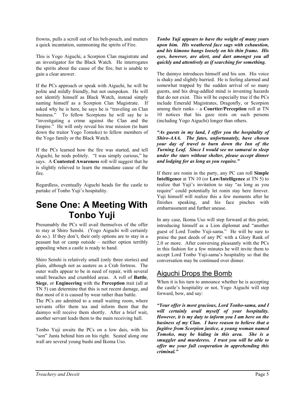frowns, pulls a scroll out of his belt-pouch, and mutters a quick incantation, summoning the spirits of Fire.

This is Yogo Aiguchi, a Scorpion Clan magistrate and an investigator for the Black Watch. He interrogates the spirits about the cause of the fire, but is unable to gain a clear answer.

If the PCs approach or speak with Aiguchi, he will be polite and mildly friendly, but not outspoken. He will not identify himself as Black Watch, instead simply naming himself as a Scorpion Clan Magistrate. If asked why he is here, he says he is "traveling on Clan business." To fellow Scorpions he will say he is "investigating a crime against the Clan and the Empire." He will only reveal his true mission (to hunt down the traitor Yogo Tomoko) to fellow members of the Yogo family or the Black Watch.

If the PCs learned how the fire was started, and tell Aiguchi, he nods politely. "I was simply curious," he says. A **Contested Awareness** roll will suggest that he is slightly relieved to learn the mundane cause of the fire.

Regardless, eventually Aiguchi heads for the castle to partake of Tonbo Yuji's hospitality.

# **Sene One: A Meeting With Tonbo Yuji**

Presumably the PCs will avail themselves of the offer to stay at Shiro Senshi. (Yogo Aiguchi will certainly do so.) If they don't, their only options are to stay in a peasant hut or camp outside – neither option terribly appealing when a castle is ready to hand.

Shiro Senshi is relatively small (only three stories) and plain, although not as austere as a Crab fortress. The outer walls appear to be in need of repair, with several small breaches and crumbled areas. A roll of **Battle**, **Siege**, or **Engineering** with the **Perception** trait (all at TN 5) can determine that this is not recent damage, and that most of it is caused by wear rather than battle.

The PCs are admitted to a small waiting room, where servants offer them tea and inform them that the daimyo will receive them shortly. After a brief wait, another servant leads them to the main receiving hall.

Tonbo Yuji awaits the PCs on a low dais, with his "son" Junta behind him on his right. Seated along one wall are several young bushi and Ikoma Uso.

*Tonbo Yuji appears to have the weight of many years upon him. His weathered face sags with exhaustion, and his kimono hangs loosely on his thin frame. His eyes, however, are alert, and dart amongst you all quickly and attentively as if searching for something.* 

The daimyo introduces himself and his son. His voice is shaky and slightly hurried. He is feeling alarmed and somewhat trapped by the sudden arrival of so many guests, and his drug-addled mind is inventing hazards that do not exist. This will be especially true if the PCs include Emerald Magistrates, Dragonfly, or Scorpion among their ranks – a **Courtier/Perception** roll at TN 10 notices that his gaze rests on such persons (including Yogo Aiguchi) longer than others.

*"As guests in my land, I offer you the hospitality of Shiro-AAA. The fates, unfortunately, have chosen your day of travel to burn down the Inn of the Turning Leaf. Since I would see no samurai to sleep under the stars without shelter, please accept dinner and lodging for as long as you require."* 

If there are ronin in the party, any PC can roll **Simple Intelligence** at TN 10 (or **Law/Intelligence** at TN 5) to realize that Yuji's invitation to stay "as long as you require" could potentially let ronin stay here forever. Yuji himself will realize this a few moments after he finishes speaking, and his face pinches with embarrassment and further unease.

In any case, Ikoma Uso will step forward at this point, introducing himself as a Lion diplomat and "another guest of Lord Tonbo Yuji-sama." He will be sure to praise the past deeds of any PC with a Glory Rank of 2.0 or more. After conversing pleasantly with the PCs in this fashion for a few minutes he will invite them to accept Lord Tonbo Yuji-sama's hospitality so that the conversation may be continued over dinner.

# Aiguchi Drops the Bomb

When it is his turn to announce whether he is accepting the castle's hospitality or not, Yogo Aiguchi will step forward, bow, and say:

*"Your offer is most gracious, Lord Tonbo-sama, and I will certainly avail myself of your hospitality. However, it is my duty to inform you I am here on the business of my Clan. I have reason to believe that a fugitive from Scorpion justice, a young woman named Tomoko, may be hiding in this area. She is a smuggler and murderess. I trust you will be able to offer me your full cooperation in apprehending this criminal."*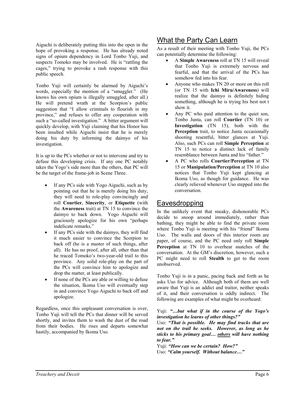Aiguchi is deliberately putting this into the open in the hope of provoking a response. He has already noted signs of opium dependency in Lord Tonbo Yuji, and suspects Tomoko may be involved. He is "rattling the cages," trying to provoke a rash response with this public speech.

Tonbo Yuji will certainly be alarmed by Aiguchi's words, especially the mention of a "smuggler." (He knows his own opium is illegally smuggled, after all.) He will pretend wrath at the Scorpion's public suggestion that "I allow criminals to flourish in my province," and refuses to offer any cooperation with such a "so-called investigation." A bitter argument will quickly develop, with Yuji claiming that his Honor has been insulted while Aiguchi insist that he is merely doing his duty by informing the daimyo of his investigation.

It is up to the PCs whether or not to intervene and try to defuse this developing crisis. If any one PC notably takes the Yogo's side more than the others, that PC will be the target of the frame-job in Scene Three.

- If any PCs side with Yogo Aiguchi, such as by pointing out that he is merely doing his duty, they will need to role-play convincingly and roll **Courtier**, **Sincerity**, or **Etiquette** (with the **Awareness** trait) at TN 15 to convince the daimyo to back down. Yogo Aiguchi will graciously apologize for his own "perhaps indelicate remarks."
- If any PCs side with the daimyo, they will find it much easier to convince the Scorpion to back off (he is a master of such things, after all). He has no proof, after all, other than that he traced Tomoko's two-year-old trail to this province. Any solid role-play on the part of the PCs will convince him to apologize and drop the matter, at least publically.
- If none of the PCs are able or willing to defuse the situation, Ikoma Uso will eventually step in and convince Yogo Aiguchi to back off and apologize.

Regardless, once this unpleasant conversation is over, Tonbo Yuji will tell the PCs that dinner will be served shortly, and invites them to wash the dust of the road from their bodies. He rises and departs somewhat hastily, accompanied by Ikoma Uso.

# What the Party Can Learn

As a result of their meeting with Tonbo Yuji, the PCs can potentially determine the following:

- A **Simple Awareness** roll at TN 15 will reveal that Tonbo Yuji is extremely nervous and fearful, and that the arrival of the PCs has somehow fed into his fear.
- Anyone who makes TN 20 or more on this roll (or TN 15 with **Ichi Miru/Awareness**) will realize that the daimyo is definitely hiding something, although he is trying his best not t show it.
- Any PC who paid attention to the quiet son, Tonbo Junta, can roll **Courtier** (TN 10) or **Investigation** (TN 15), both with the **Perception** trait, to notice Junta occasionally shooting resentful, bitter glances at Yuji. Also, such PCs can roll **Simple Perception** at TN 15 to notice a distinct lack of family resemblance between Junta and his "father."
- A PC who rolls **Courtier/Perception** at TN 15 or **Manipulation/Perception** at TN 10 also notices that Tonbo Yuji kept glancing at Ikoma Uso, as though for guidance. He was clearly relieved whenever Uso stepped into the conversation.

# **Eavesdropping**

In the unlikely event that sneaky, dishonorable PCs decide to snoop around immediately, rather than bathing, they might be able to find the private room where Tonbo Yuji is meeting with his "friend" Ikoma Uso. The walls and doors of this interior room are paper, of course, and the PC need only roll **Simple Perception** at TN 10 to overhear snatches of the conversation. At the GM's discretion, however, such a PC might need to roll **Stealth** to get to the room unobserved.

Tonbo Yuji is in a panic, pacing back and forth as he asks Uso for advice. Although both of them are well aware that Yuji is an addict and traitor, neither speaks of it, and their conversation is oddly indirect. The following are examples of what might be overheard:

#### Yuji: *"…but what if in the course of the Yogo's investigation he learns of other things?"*

Uso: *"That is possible. He may find tracks that are not on the trail he seeks. However, as long as he sticks to his primary goal… others will have nothing to fear."* 

Yuji: *"How can we be certain? How?"* 

Uso: *"Calm yourself. Without balance…"*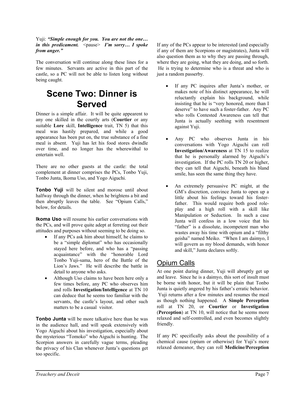Yuji: *"Simple enough for you. You are not the one… in this predicament.*  $\langle$   $\langle$   $\rangle$   $\rangle$   $\langle$   $\rangle$   $\langle$   $\rangle$   $\langle$   $\rangle$   $\langle$   $\rangle$   $\langle$   $\rangle$   $\rangle$   $\langle$   $\rangle$   $\langle$   $\rangle$   $\rangle$   $\langle$   $\rangle$   $\langle$   $\rangle$   $\langle$   $\rangle$   $\langle$   $\rangle$   $\rangle$   $\langle$   $\rangle$   $\langle$   $\rangle$   $\rangle$   $\langle$   $\rangle$   $\langle$   $\rangle$   $\rangle$   $\langle$ *from anger."* 

The conversation will continue along these lines for a few minutes. Servants are active in this part of the castle, so a PC will not be able to listen long without being caught.

# **Scene Two: Dinner is Served**

Dinner is a simple affair. It will be quite appearent to any one skilled in the courtly arts (**Courtier** or any suitable **Lore** skill, **Intelligence** trait, TN 5) that this meal was hastily prepared, and while a good appearance has been put on, the true substance of a fine meal is absent. Yuji has let his food stores dwindle over time, and no longer has the wherewithal to entertain well.

There are no other guests at the castle: the total complement at dinner comprises the PCs, Tonbo Yuji, Tonbo Junta, Ikoma Uso, and Yogo Aiguchi.

**Tonbo Yuji** will be silent and morose until about halfway through the dinner, when he brightens a bit and then abruptly leaves the table. See "Opium Calls," below, for details.

**Ikoma Uso** will resume his earlier conversations with the PCs, and will prove quite adept at ferreting out their attitudes and purposes without seeming to be doing so.

- If any PCs ask him about himself, he claims to be a "simple diplomat" who has occasionally stayed here before, and who has a "passing acquaintance" with the "honorable Lord Tonbo Yuji-sama, hero of the Battle of the Lion's Jaws." He will describe the battle in detail to anyone who asks.
- Although Uso claims to have been here only a few times before, any PC who observes him and rolls **Investigation/Intelligence** at TN 10 can deduce that he seems too familiar with the servants, the castle's layout, and other such matters to be a casual visitor.

**Tonbo Junta** will be more talkative here than he was in the audience hall, and will speak extensively with Yogo Aiguchi about his investigation, especially about the mysterious "Tomoko" who Aiguchi is hunting. The Scorpion answers in carefully vague terms, pleading the privacy of his Clan whenever Junta's questions get too specific.

If any of the PCs appear to be interested (and especially if any of them are Scorpions or magistrates), Junta will also question them as to why they are passing through, where they are going, what they are doing, and so forth. He is trying to determine who is a threat and who is just a random passerby.

- If any PC inquires after Junta's mother, or makes note of his distinct appearance, he will reluctantly explain his background, while insisting that he is "very honored, more than I deserve" to have such a foster-father. Any PC who rolls Contested Awareness can tell that Junta is actually seething with resentment against Yuji.
- Any PC who observes Junta in his conversations with Yogo Aiguchi can roll **Investigation/Awareness** at TN 15 to realize that he is personally alarmed by Aiguchi's investigation. If the PC rolls TN 20 or higher, they can tell that Aiguchi, beneath his bland smile, has seen the same thing they have.
- An extremely persuasive PC might, at the GM's discretion, convince Junta to open up a little about his feelings toward his fosterfather. This would require both good roleplay and a high roll with a skill like Manipulation or Seduction. In such a case Junta will confess in a low voice that his "father" is a dissolute, incompetent man who wastes away his time with opium and a "filthy geisha" named Meiko. "When I am daimyo, I will govern as my blood demands, with honor and skill," Junta declares softly.

# Opium Calls

At one point during dinner, Yuji will abruptly get up and leave. Since he is a daimyo, this sort of insult must be borne with honor, but it will be plain that Tonbo Junta is quietly angered by his father's erratic behavior. Yuji returns after a few minutes and resumes the meal as though nothing happened. A **Simple Perception** roll at TN 20, or **Courtier** or **Investigation** (**Perception**) at TN 10, will notice that he seems more relaxed and self-controlled, and even becomes slightly friendly.

If any PC specifically asks about the possibility of a chemical cause (opium or otherwise) for Yuji's more relaxed demeanor, they can roll **Medicine/Perception**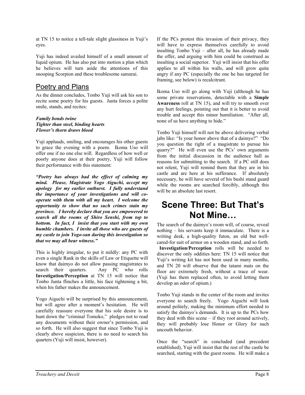at TN 15 to notice a tell-tale slight glassiness in Yuji's eyes.

Yuji has indeed availed himself of a small amount of liquid opium. He has also put into motion a plan which he believes will turn aside the attentions of this snooping Scorpion and these troublesome samurai.

# Poetry and Plans

As the dinner concludes, Tonbo Yuji will ask his son to recite some poetry for his guests. Junta forces a polite smile, stands, and recites:

#### *Family bonds twine Tighter than steel, binding hearts Flower's thorn draws blood*

Yuji applauds, smiling, and encourages his other guests to grace the evening with a poem. Ikoma Uso will offer one if no one else will. Regardless of how well or poorly anyone does at their poetry, Yuji will follow their performance with this statement:

*"Poetry has always had the effect of calming my mind. Please, Magistrate Yogo Aiguchi, accept my apology for my earlier outburst. I fully understand the importance of your investigations and will cooperate with them with all my heart. I welcome the opportunity to show that no such crimes stain my province. I hereby declare that you are empowered to search all the rooms of Shiro Senshi, from top to bottom. In fact, I insist that you start with my own humble chambers. I invite all those who are guests of my castle to join Yogo-san during this investigation so that we may all bear witness."* 

This is highly irregular, to put it mildly: any PC with even a single Rank in the skills of Law or Etiquette will know that daimyo do not allow passing magistrates to search their quarters. Any PC who rolls **Investigation/Perception** at TN 15 will notice that Tonbo Junta flinches a little, his face tightening a bit, when his father makes the announcement.

Yogo Aiguchi will be surprised by this announcement, but will agree after a moment's hesitation. He will carefully reassure everyone that his sole desire is to hunt down the "criminal Tomoko," pledges not to read any documents without their owner's permission, and so forth. He will also suggest that since Tonbo Yuji is clearly above suspicion, there is no need to search his quarters (Yuji will insist, however).

If the PCs protest this invasion of their privacy, they will have to express themselves carefully to avoid insulting Tonbo Yuji – after all, he has already made the offer, and arguing with him could be construed as insulting a social superior. Yuji will insist that his offer applies to all within his walls, and will grow quite angry if any PC (especially the one he has targeted for framing, see below) is recalcitrant.

Ikoma Uso will go along with Yuji (although he has some private reservations, detectable with a **Simple Awareness** roll at TN 15), and will try to smooth over any hurt feelings, pointing out that it is better to avoid trouble and accept this minor humiliation. "After all, none of us have anything to hide."

Tonbo Yuji himself will not be above delivering verbal jabs like: "Is your honor above that of a daimyo?" "Do you question the right of a magistrate to pursue his quarry?" He will even use the PCs' own arguments from the initial discussion in the audience hall as reasons for submitting to the search. If a PC still does not relent, Yuji will remind them that they are in his castle and are here at his sufferance. If absolutely necessary, he will have several of his bushi stand guard while the rooms are searched forcibly, although this will be an absolute last resort.

# **Scene Three: But That's Not Mine…**

The search of the daimyo's room will, of course, reveal nothing – his servants keep it immaculate. There is a writing desk, a high-quality futon, an old but wellcared-for suit of armor on a wooden stand, and so forth.

 **Investigation/Perception** rolls will be needed to discover the only oddities here: TN 15 will notice that Yuji's writing kit has not been used in many months, and TN 20 will observe that the tatami mats on the floor are extremely fresh, without a trace of wear. (Yuji has them replaced often, to avoid letting them develop an odor of opium.)

Tonbo Yuji stands in the center of the room and invites everyone to search freely. Yogo Aiguchi will look around politely, making the minimum effort needed to satisfy the daimyo's demands. It is up to the PCs how they deal with this scene – if they root around actively, they will probably lose Honor or Glory for such uncouth behavior.

Once the "search" in concluded (and precedent established), Yuji will insist that the rest of the castle be searched, starting with the guest rooms. He will make a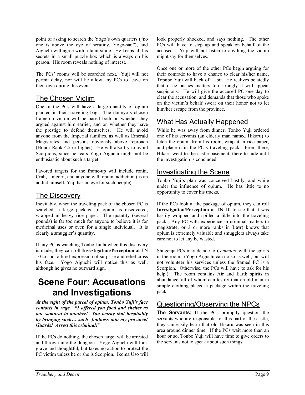point of asking to search the Yogo's own quarters ("no one is above the eye of scrutiny, Yogo-san"), and Aiguchi will agree with a faint smile. He keeps all his secrets in a small puzzle box which is always on his person. His room reveals nothing of interest.

The PCs' rooms will be searched next. Yuji will not permit delay, nor will he allow any PCs to leave on their own during this event.

# The Chosen Victim

One of the PCs will have a large quantity of opium planted in their traveling bag. The daimyo's chosen frame-up victim will be based both on whether they argued against him earlier, and on whether they have the prestige to defend themselves. He will avoid anyone from the Imperial families, as well as Emerald Magistrates and persons obviously above reproach (Honor Rank 4.5 or higher). He will also try to avoid Scorpions, since he fears Yogo Aiguchi might not be enthusiastic about such a target.

Favored targets for the frame-up will include ronin, Crab, Unicorn, and anyone with opium addiction (as an addict himself, Yuji has an eye for such people).

# The Discovery

Inevitably, when the traveling pack of the chosen PC is searched, a large package of opium is discovered, wrapped in heavy rice paper. The quantity (several pounds) is far too much for anyone to believe it is for medicinal uses or even for a single individual. It is clearly a smuggler's quantity.

If any PC is watching Tonbo Junta when this discovery is made, they can roll **Investigation/Perception** at TN 10 to spot a brief expression of surprise and relief cross his face. Yogo Aiguchi will notice this as well, although he gives no outward sign.

# **Scene Four: Accusations and Investigations**

*At the sight of the parcel of opium, Tonbo Yuji's face contorts in rage. "I offered you food and shelter as one samurai to another! You betray that hospitality by bringing such… such foulness into my province! Guards! Arrest this criminal!"*

If the PCs do nothing, the chosen target will be arrested and thrown into the dungeon. Yogo Aiguchi will look grave and thoughtful, but takes no action to protect the PC victim unless he or she is Scorpion. Ikoma Uso will look properly shocked, and says nothing. The other PCs will have to step up and speak on behalf of the accused – Yuji will not listen to anything the victim might say for themselves.

Once one or more of the other PCs begin arguing for their comrade to have a chance to clear his/her name, Topnbo Yuji will back off a bit. He realizes belatedly that if he pushes matters too strongly it will appear suspicious. He will give the accused PC one day to clear the accusation, and demands that those who spoke on the victim's behalf swear on their honor not to let him/her escape from the province.

# What Has Actually Happened

While he was away from dinner, Tonbo Yuji ordered one of his servants (an elderly man named Hikaru) to fetch the opium from his room, wrap it in rice paper, and place it in the PC's traveling pack. From there, Hikaru went to the castle basement, there to hide until the investigation is concluded.

# Investigating the Scene

Tonbo Yuji's plan was conceived hastily, and while under the influence of opium. He has little to no opportunity to cover his tracks.

If the PCs look at the package of opium, they can roll **Investigation/Perception** at TN 10 to see that it was hastily wrapped and spilled a little into the traveling pack. Any PC with experience in criminal matters (a magistrate, or 3 or more ranks in **Law**) knows that opium is extremely valuable and smugglers always take care not to let any be wasted.

Shugenja PCs may decide to *Commune* with the spirits in the room. (Yogo Aiguchi can do so as well, but will not volunteer his services unless the framed PC is a Scorpion. Otherwise, the PCs will have to ask for his help.) The room contains Air and Earth spirits in abundance, all of whom can testify that an old man in simple clothing placed a package within the traveling pack.

# Questioning/Observing the NPCs

**The Servants:** If the PCs promptly question the servants who are responsible for this part of the castle, they can easily learn that old Hikaru was seen in this area around dinner time. If the PCs wait more than an hour or so, Tonbo Yuji will have time to give orders to the servants not to speak about such things.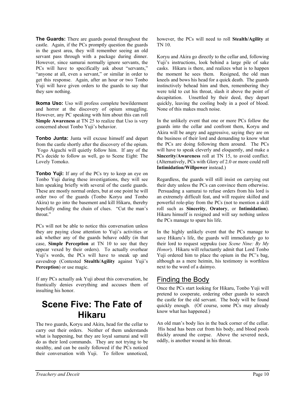**The Guards:** There are guards posted throughout the castle. Again, if the PCs promptly question the guards in the guest area, they will remember seeing an old servant pass through with a package during dinner. However, since samurai normally ignore servants, the PCs will have to specifically ask about "servants," "anyone at all, even a servant," or similar in order to get this response. Again, after an hour or two Tonbo Yuji will have given orders to the guards to say that they saw nothing.

**Ikoma Uso:** Uso will profess complete bewilderment and horror at the discovery of opium smuggling. However, any PC speaking with him about this can roll **Simple Awareness** at TN 25 to realize that Uso is very concerned about Tonbo Yuji's behavior.

**Tonbo Junta:** Junta will excuse himself and depart from the castle shortly after the discovery of the opium. Yogo Aiguchi will quietly follow him. If any of the PCs decide to follow as well, go to Scene Eight: The Lovely Tomoko.

**Tonbo Yuji:** If any of the PCs try to keep an eye on Tonbo Yuji during these investigations, they will see him speaking briefly with several of the castle guards. These are mostly normal orders, but at one point he will order two of the guards (Tonbo Koryu and Tonbo Akira) to go into the basement and kill Hikaru, thereby hopefully ending the chain of clues. "Cut the man's throat."

PCs will not be able to notice this conversation unless they are paying close attention to Yuji's activities or ask whether any of the guards behave oddly (in that case, **Simple Perception** at TN 10 to see that they appear vexed by their orders). To actually overhear Yuji's words, the PCs will have to sneak up and eavesdrop (Contested **Stealth/Agility** against Yuji's **Perception**) or use magic.

If any PCs actually ask Yuji about this conversation, he frantically denies everything and accuses them of insulting his honor.

# **Scene Five: The Fate of Hikaru**

The two guards, Koryu and Akira, head for the cellar to carry out their orders. Neither of them understands what is happening, but they are loyal samurai and will do as their lord commands. They are not trying to be stealthy, and can be easily followed if the PCs noticed their conversation with Yuji. To follow unnoticed, however, the PCs will need to roll **Stealth/Agility** at TN 10.

Koryu and Akira go directly to the cellar and, following Yuji's instructions, look behind a large pile of sake casks. Hikaru is there, and realizes what is to happen the moment he sees them. Resigned, the old man kneels and bows his head for a quick death. The guards instinctively behead him and then, remembering they were told to cut his throat, slash it above the point of decapitation. Unsettled by their deed, they depart quickly, leaving the cooling body in a pool of blood. None of this makes much noise.

In the unlikely event that one or more PCs follow the guards into the cellar and confront them, Koryu and Akira will be angry and aggressive, saying they are on the business of their lord and demanding to know what the PCs are doing following them around. The PCs will have to speak cleverly and eloquently, and make a **Sincerity/Awareness** roll at TN 15, to avoid conflict. (Alternatively, PCs with Glory of 2.0 or more could roll **Intimidation/Willpower** instead.)

Regardless, the guards will still insist on carrying out their duty unless the PCs can convince them otherwise. Persuading a samurai to refuse orders from his lord is an extremely difficult feat, and will require skilled and powerful role-play from the PCs (not to mention a skill roll such as **Sincerity**, **Oratory**, or **Intimidation**). Hikaru himself is resigned and will say nothing unless the PCs manage to spare his life.

In the highly unlikely event that the PCs manage to save Hikaru's life, the guards will immediately go to their lord to request seppuku (see *Scene Nine: By My Honor*). Hikaru will reluctantly admit that Lord Tonbo Yuji ordered him to place the opium in the PC's bag, although as a mere heimin, his testimony is worthless next to the word of a daimyo.

# Finding the Body

Once the PCs start looking for Hikaru, Tonbo Yuji will pretend to cooperate, ordering other guards to search the castle for the old servant. The body will be found quickly enough. (Of course, some PCs may already know what has happened.)

An old man's body lies in the back corner of the cellar. His head has been cut from his body, and blood pools thickly around the corpse. Above the severed neck, oddly, is another wound in his throat.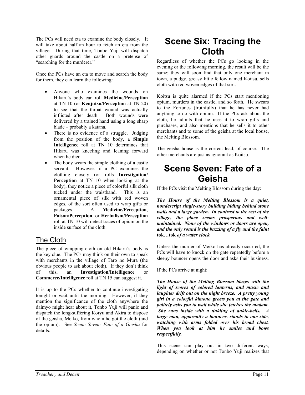The PCs will need eta to examine the body closely. It will take about half an hour to fetch an eta from the village. During that time, Tonbo Yuji will dispatch other guards around the castle on a pretense of "searching for the murderer."

Once the PCs have an eta to move and search the body for them, they can learn the following:

- Anyone who examines the wounds on Hikaru's body can roll **Medicine/Perception** at TN 10 (or **Kenjutsu/Perception** at TN 20) to see that the throat wound was actually inflicted after death. Both wounds were delivered by a trained hand using a long sharp blade – probably a katana.
- There is no evidence of a struggle. Judging from the position of the body, a **Simple Intelligence** roll at TN 10 determines that Hikaru was kneeling and leaning forward when he died.
- The body wears the simple clothing of a castle servant. However, if a PC examines the clothing closely (or rolls **Investigation/ Perception** at TN 10 when looking at the body), they notice a piece of colorful silk cloth tucked under the waistband. This is an ornamental piece of silk with red woven edges, of the sort often used to wrap gifts or packages. A **Medicine/Perception**, **Poison/Perception**, or **Herbalism/Perception** roll at TN 10 will detect traces of opium on the inside surface of the cloth.

# The Cloth

The piece of wrapping-cloth on old Hikaru's body is the key clue. The PCs may think on their own to speak with merchants in the village of Taro no Mura (the obvious people to ask about cloth). If they don't think of this, an **Investigation/Intelligence** or **Commerce/Intelligence** roll at TN 15 can suggest it.

It is up to the PCs whether to continue investigating tonight or wait until the morning. However, if they mention the significance of the cloth anywhere the daimyo might hear about it, Tonbo Yuji will panic and dispatch the long-suffering Koryu and Akira to dispose of the geisha, Meiko, from whom he got the cloth (and the opium). See *Scene Seven: Fate of a Geisha* for details.

# **Scene Six: Tracing the Cloth**

Regardless of whether the PCs go looking in the evening or the following morning, the result will be the same: they will soon find that only one merchant in town, a pudgy, greasy little fellow named Koitsu, sells cloth with red woven edges of that sort.

Koitsu is quite alarmed if the PCs start mentioning opium, murders in the castle, and so forth. He swears to the Fortunes (truthfully) that he has never had anything to do with opium. If the PCs ask about the cloth, he admits that he uses it to wrap gifts and purchases, and also mentions that he sells it to other merchants and to some of the geisha at the local house, the Melting Blossom.

The geisha house is the correct lead, of course. The other merchants are just as ignorant as Koitsu.

# **Scene Seven: Fate of a Geisha**

If the PCs visit the Melting Blossom during the day:

*The House of the Melting Blossom is a quiet, nondescript single-story building hiding behind stone walls and a large garden. In contrast to the rest of the village, the place seems prosperous and wellmaintained. None of the windows or doors are open, and the only sound is the buzzing of a fly and the faint* **tok***…***tok** *of a water clock.* 

Unless the murder of Meiko has already occurred, the PCs will have to knock on the gate repeatedly before a sleepy bouncer opens the door and asks their business.

If the PCs arrive at night:

*The House of the Melting Blossom blazes with the light of scores of colored lanterns, and music and laughter drift out on the night breeze. A pretty young girl in a colorful kimono greets you at the gate and politely asks you to wait while she fetches the madam. She runs inside with a tinkling of ankle-bells. A large man, apparently a bouncer, stands to one side, watching with arms folded over his broad chest. When you look at him he smiles and bows respectfully.* 

This scene can play out in two different ways, depending on whether or not Tonbo Yuji realizes that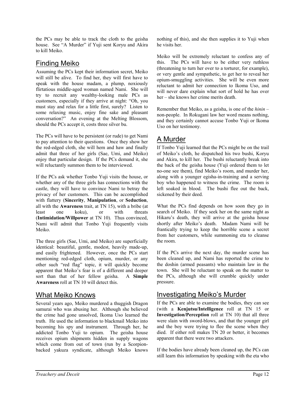the PCs may be able to track the cloth to the geisha house. See "A Murder" if Yuji sent Koryu and Akira to kill Meiko.

# Finding Meiko

Assuming the PCs kept their information secret, Meiko will still be alive. To find her, they will first have to speak with the house madam, a plump, noxiously flirtatious middle-aged woman named Nami. She will try to recruit any wealthy-looking male PCs as customers, especially if they arrive at night: "Oh, you must stay and relax for a little first, surely? Listen to some relaxing music, enjoy fine sake and pleasant conversation?" An evening at the Melting Blossom, should the PCs accept it, costs three silver bu.

The PCs will have to be persistent (or rude) to get Nami to pay attention to their questions. Once they show her the red-edged cloth, she will hem and haw and finally admit that three of her girls (Sae, Umi, and Meiko) enjoy that particular design. If the PCs demand it, she will reluctantly summon them to be interviewed.

If the PCs ask whether Tonbo Yuji visits the house, or whether any of the three girls has connections with the castle, they will have to convince Nami to betray the privacy of her customers. This can be accomplished with flattery (**Sincerity**, **Manipulation**, or **Seduction**, all with the **Awareness** trait, at TN 15), with a bribe (at least one koku), or with threats (**Intimidation/Willpower** at TN 10). Thus convinced, Nami will admit that Tonbo Yuji frequently visits Meiko.

The three girls (Sae, Umi, and Meiko) are superficially identical: beautiful, gentle, modest, heavily made-up, and easily frightened. However, once the PCs start mentioning red-edged cloth, opium, murder, or any other such "red flag" topic, it will quickly become apparent that Meiko's fear is of a different and deeper sort than that of her fellow geisha. A **Simple Awareness** roll at TN 10 will detect this.

### What Meiko Knows

Several years ago, Meiko murdered a thuggish Dragon samurai who was abusing her. Although she believed the crime had gone unsolved, Ikoma Uso learned the truth. He used the information to blackmail Meiko into becoming his spy and instrument. Through her, he addicted Tonbo Yuji to opium. The geisha house receives opium shipments hidden in supply wagons which come from out of town (run by a Scorpionbacked yakuza syndicate, although Meiko knows nothing of this), and she then supplies it to Yuji when he visits her.

Meiko will be extremely reluctant to confess any of this. The PCs will have to be either very ruthless (threatening to turn her over to a torturer, for example), or very gentle and sympathetic, to get her to reveal her opium-smuggling activities. She will be even more reluctant to admit her connection to Ikoma Uso, and will never dare explain what sort of hold he has over her – she knows her crime merits death.

Remember that Meiko, as a geisha, is one of the *hinin* – non-people. In Rokugani law her word means nothing, and they certainly cannot accuse Tonbo Yuji or Ikoma Uso on her testimony.

# A Murder

If Tonbo Yuji learned that the PCs might be on the trail of Meiko's cloth, he dispatched his two bushi, Koryu and Akira, to kill her. The bushi reluctantly break into the back of the geisha house (Yuji ordered them to let no-one see them), find Meiko's room, and murder her, along with a younger egisha-in-training and a serving boy who happened to witness the crime. The room is left soaked in blood. The bushi flee out the back, sickened by their deed.

What the PCs find depends on how soon they go in search of Meiko. If they seek her on the same night as Hikaru's death, they will arrive at the geisha house shortly after Meiko's death. Madam Nami will be frantically trying to keep the horrible scene a secret from her customers, while summoning eta to cleanse the room.

If the PCs arrive the next day, the murder scene has been cleaned up, and Nami has reported the crime to the doshin (armed peasants) who maintain law in the town. She will be reluctant to speak on the matter to the PCs, although she will crumble quickly under pressure.

# Investigating Meiko's Murder

If the PCs are able to examine the bodies, they can see (with a **Kenjutsu/Intelligence** roll at TN 15 or **Investigation/Perception** roll at TN 10) that all three were slain with sword-blows, and that the younger girl and the boy were trying to flee the scene when they died. If either roll makes TN 20 or better, it becomes apparent that there were two attackers.

If the bodies have already been cleaned up, the PCs can still learn this information by speaking with the eta who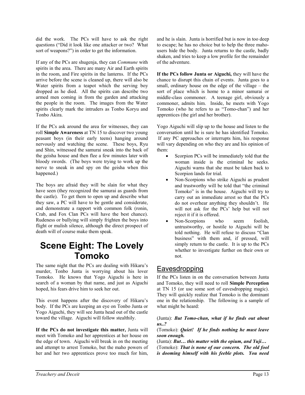did the work. The PCs will have to ask the right questions ("Did it look like one attacker or two? What sort of weapons?") in order to get the information.

If any of the PCs are shugenja, they can *Commune* with spirits in the area. There are many Air and Earth spirits in the room, and Fire spirits in the lanterns. If the PCs arrive before the scene is cleaned up, there will also be Water spirits from a teapot which the serving boy dropped as he died. All the spirits can describe two armed men coming in from the garden and attacking the people in the room. The images from the Water spirits clearly mark the intruders as Tonbo Koryu and Tonbo Akira.

If the PCs ask around the area for witnesses, they can roll **Simple Awareness** at TN 15 to discover two young peasant boys (in their early teens) hanging around nervously and watching the scene. These boys, Ryu and Shin, witnessed the samurai sneak into the back of the geisha house and then flee a few minutes later with bloody swords. (The boys were trying to work up the nerve to sneak in and spy on the geisha when this happened.)

The boys are afraid they will be slain for what they have seen (they recognized the samurai as guards from the castle). To get them to open up and describe what they saw, a PC will have to be gentle and considerate, and demonstrate a rapport with common folk (ronin, Crab, and Fox Clan PCs will have the best chance). Rudeness or bullying will simply frighten the boys into flight or mulish silence, although the direct prospect of death will of course make them speak.

# **Scene Eight: The Lovely Tomoko**

The same night that the PCs are dealing with Hikaru's murder, Tonbo Junta is worrying about his lover Tomoko. He knows that Yogo Aiguchi is here in search of a woman by that name, and just as Aiguchi hoped, his fears drive him to seek her out.

This event happens after the discovery of Hikaru's body. If the PCs are keeping an eye on Tonbo Junta or Yogo Aiguchi, they will see Junta head out of the castle toward the village. Aiguchi will follow stealthily.

**If the PCs do not investigate this matter,** Junta will meet with Tomoko and her apprentices at her house on the edge of town. Aiguchi will break in on the meeting and attempt to arrest Tomoko, but the maho powers of her and her two apprentices prove too much for him,

and he is slain. Junta is horrified but is now in too deep to escape; he has no choice but to help the three mahousers hide the body. Junta returns to the castle, badly shaken, and tries to keep a low profile for the remainder of the adventure.

**If the PCs follow Junta or Aiguchi,** they will have the chance to disrupt this chain of events. Junta goes to a small, ordinary house on the edge of the village – the sort of place which is home to a minor samurai or middle-class commoner. A teenage girl, obviously a commoner, admits him. Inside, he meets with Yogo Tomoko (who he refers to as "Tomo-chan") and her apprentices (the girl and her brother).

Yogo Aiguchi will slip up to the house and listen to the conversation until he is sure he has identified Tomoko. If any PC approaches or interrupts him, his response will vary depending on who they are and his opinion of them:

- Scorpion PCs will be immediately told that the woman inside is the criminal he seeks. Aiguchi warns that she must be taken back to Scorpion lands for trial.
- Non-Scorpions who strike Aiguchi as prudent and trustworthy will be told that "the criminal Tomoko" is in the house. Aiguchi will try to carry out an immediate arrest so that the PCs do not overhear anything they shouldn't. He will not ask for the PCs' help but will not reject it if it is offered.
- Non-Scorpions who seem foolish, untrustworthy, or hostile to Aiguchi will be told nothing. He will refuse to discuss "Clan business" with them and, if pressed, will simply return to the castle. It is up to the PCs whether to investigate further on their own or not.

# **Eavesdropping**

If the PCs listen in on the conversation between Junta and Tomoko, they will need to roll **Simple Perception** at TN 15 (or use some sort of eavesdropping magic). They will quickly realize that Tomoko is the dominant one in the relationship. The following is a sample of what might be heard:

#### (Junta): *But Tomo-chan, what if he finds out about us..?*

(Tomoko): *Quiet! If he finds nothing he must leave soon enough.*

(Junta): *But… this matter with the opium, and Yuji…*

(Tomoko): *That is none of our concern. The old fool is dooming himself with his feeble plots. You need*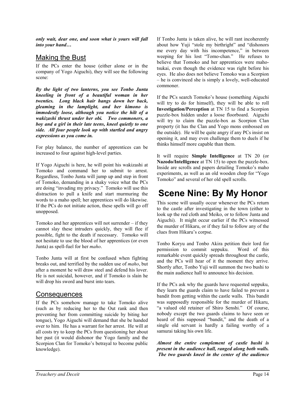*only wait, dear one, and soon what is yours will fall into your hand…* 

### Making the Bust

If the PCs enter the house (either alone or in the company of Yogo Aiguchi), they will see the following scene:

*By the light of two lanterns, you see Tonbo Junta kneeling in front of a beautiful woman in her twenties. Long black hair hangs down her back, gleaming in the lamplight, and her kimono is immodestly loose, although you notice the hilt of a wakizashi thrust under her obi. Two commoners, a boy and a girl in their late teens, kneel quietly to one side. All four people look up with startled and angry expressions as you come in.* 

For play balance, the number of apprentices can be increased to four against high-level parties.

If Yogo Aiguchi is here, he will point his wakizashi at Tomoko and command her to submit to arrest. Regardless, Tonbo Junta will jump up and step in front of Tomoko, demanding in a shaky voice what the PCs are doing "invading my privacy." Tomoko will use this distraction to pull a knife and start murmuring the words to a maho spell; her apprentices will do likewise. If the PCs do not initiate action, these spells will go off unopposed.

Tomoko and her apprentices will not surrender – if they cannot slay these intruders quickly, they will flee if possible, fight to the death if necessary. Tomoko will not hesitate to use the blood of her apprentices (or even Junta) as spell-fuel for her *maho*.

Tonbo Junta will at first be confused when fighting breaks out, and terrified by the sudden use of *maho*, but after a moment he will draw steel and defend his lover. He is not suicidal, however, and if Tomoko is slain he will drop his sword and burst into tears.

# Consequences

If the PCs somehow manage to take Tomoko alive (such as by reducing her to the Out rank and then preventing her from committing suicide by biting her tongue), Yogo Aiguchi will demand that she be handed over to him. He has a warrant for her arrest. He will at all costs try to keep the PCs from questioning her about her past (it would dishonor the Yogo family and the Scorpion Clan for Tomoko's betrayal to become public knowledge).

If Tonbo Junta is taken alive, he will rant incoherently about how Yuji "stole my birthright" and "dishonors me every day with his incompetence," in between weeping for his lost "Tomo-chan." He refuses to believe that Tomoko and her apprentices were mahotsukai, even though the evidence was right before his eyes. He also does not believe Tomoko was a Scorpion – he is convinced she is simply a lovely, well-educated commoner.

If the PCs search Tomoko's house (something Aiguchi will try to do for himself), they will be able to roll **Investigation/Perception** at TN 15 to find a Scorpion puzzle-box hidden under a loose floorboard. Aiguchi will try to claim the puzzle-box as Scorpion Clan property (it has the Clan and Yogo mons embossed on the outside). He will be quite angry if any PCs insist on opening it, and may even challenge them to duels if he thinks himself more capable than them.

It will require **Simple Intelligence** at TN 20 (or **Nazodo/Intelligence** at TN 15) to open the puzzle-box. Inside are scrolls and papers detailing Tomoko's maho experiments, as well as an old wooden chop for "Yogo Tomoko" and several of her old spell scrolls.

# **Scene Nine: By My Honor**

This scene will usually occur whenever the PCs return to the castle after investigating in the town (either to look up the red cloth and Meiko, or to follow Junta and Aiguchi). It might occur earlier if the PCs witnessed the murder of Hikaru, or if they fail to follow any of the clues from Hikaru's corpse.

Tonbo Koryu and Tonbo Akira petition their lord for permission to commit seppuku. Word of this remarkable event quickly spreads throughout the castle, and the PCs will hear of it the moment they arrive. Shortly after, Tonbo Yuji will summon the two bushi to the main audience hall to announce his decision.

If the PCs ask why the guards have requested seppuku, they learn the guards claim to have failed to prevent a bandit from getting within the castle walls. This bandit was supposedly responsible for the murder of Hikaru, "a valued old retainer of Shiro Senshi." Of course, nobody except the two guards claims to have seen or heard of this supposed "bandit," and the death of a single old servant is hardly a failing worthy of a samurai taking his own life.

*Almost the entire complement of castle bushi is present in the audience hall, ranged along both walls. The two guards kneel in the center of the audience*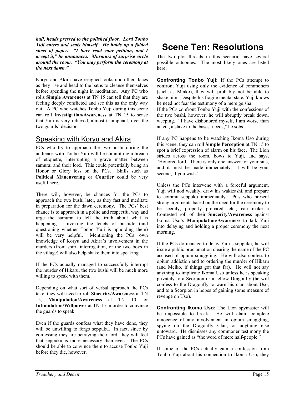*hall, heads pressed to the polished floor. Lord Tonbo Yuji enters and seats himself. He holds up a folded sheet of paper. "I have read your petition, and I accept it," he announces. Murmurs of surprise circle around the room. "You may perform the ceremony at the next dawn."* 

Koryu and Akira have resigned looks upon their faces as they rise and head to the baths to cleanse themselves before spending the night in meditation. Any PC who rolls **Simple Awareness** at TN 15 can tell that they are feeling deeply conflicted and see this as the only way out. A PC who watches Tonbo Yuji during this scene can roll **Investigation/Awareness** at TN 15 to sense that Yuji is very relieved, almost triumphant, over the two guards' decision.

### Speaking with Koryu and Akira

PCs who try to approach the two bushi during the audience with Tonbo Yuji will be committing a breach of etiquette, interrupting a grave matter between samurai and their lord. This could potentially bring an Honor or Glory loss on the PCs. Skills such as **Political Maneuvering** or **Courtier** could be very useful here.

There will, however, be chances for the PCs to approach the two bushi later, as they fast and meditate in preparation for the dawn ceremony. The PCs' best chance is to approach in a polite and respectful way and urge the samurai to tell the truth about what is happening. Invoking the tenets of bushido (and questioning whether Tonbo Yuji is upholding them) will be very helpful. Mentioning the PCs' own knowledge of Koryu and Akira's involvement in the murders (from spirit interrogation, or the two boys in the village) will also help shake them into speaking.

If the PCs actually managed to successfully interrupt the murder of Hikaru, the two bushi will be much more willing to speak with them.

Depending on what sort of verbal approach the PCs take, they will need to roll **Sincerity/Awareness** at TN 15, **Manipulation/Awareness** at TN 10, or **Intimidation/Willpower** at TN 15 in order to convince the guards to speak.

Even if the guards confess what they have done, they will be unwilling to forgo seppuku. In fact, since by confessing they are betraying their lord, they will feel that seppuku is more necessary than ever. The PCs should be able to convince them to accuse Tonbo Yuji before they die, however.

# **Scene Ten: Resolutions**

The two plot threads in this scenario have several possible outcomes. The most likely ones are listed here:

**Confronting Tonbo Yuji:** If the PCs attempt to confront Yuji using only the evidence of commoners (such as Meiko), they will probably not be able to shake him. Despite his fragile mental state, Yuji knows he need not fear the testimony of a mere geisha.

If the PCs confront Tonbo Yuji with the confessions of the two bushi, however, he will abruptly break down, weeping. "I have dishonored myself, I am worse than an eta, a slave to the basest needs," he sobs.

If any PC happens to be watching Ikoma Uso during this scene, they can roll **Simple Perception** at TN 15 to spot a brief expression of alarm on his face. The Lion strides across the room, bows to Yuji, and says, "Honored lord. There is only one answer for your sins, and it must be made immediately. I will be your second, if you wish."

Unless the PCs intervene with a forceful argument, Yuji will nod weakly, draw his wakizashi, and prepare to commit seppuku immediately. PCs who present strong arguments based on the need for the ceremony to be seemly, properly prepared, etc., can make a Contested roll of their **Sincerity/Awareness** against Ikoma Uso's **Manipulation/Awareness** to talk Yuji into delaying and holding a proper ceremony the next morning.

If the PCs do manage to delay Yuji's seppuku, he will issue a public proclamation clearing the name of the PC accused of opium smuggling. He will also confess to opium addiction and to ordering the murder of Hikaru (and Meiko, if things got that far). He will not say anything to implicate Ikoma Uso unless he is speaking privately to a Scorpion or a fellow Dragonfly (he will confess to the Dragonfly to warn his clan about Uso, and to a Scorpion in hopes of gaining some measure of revenge on Uso).

**Confronting Ikoma Uso:** The Lion spymaster will be impossible to break. He will claim complete innocence of any involvement in opium smuggling, spying on the Dragonfly Clan, or anything else untoward. He dismisses any commoner testimony the PCs have gained as "the word of mere half-people."

If some of the PCs actually gain a confession from Tonbo Yuji about his connection to Ikoma Uso, they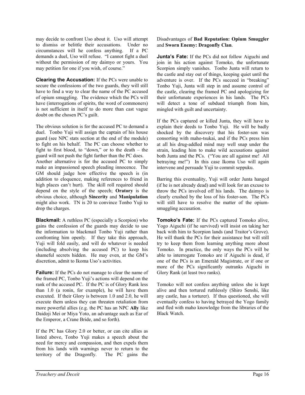may decide to confront Uso about it. Uso will attempt to dismiss or belittle their accusations. Under no circumstances will he confess anything. If a PC demands a duel, Uso will refuse. "I cannot fight a duel without the permission of my daimyo or yours. You may petition for one if you wish, of course."

**Clearing the Accusation:** If the PCs were unable to secure the confessions of the two guards, they will still have to find a way to clear the name of the PC accused of opium smuggling. The evidence which the PCs will have (interrogations of spirits, the word of commoners) is not sufficient in itself to do more than cast vague doubt on the chosen PC's guilt.

The obvious solution is for the accused PC to demand a duel. Tonbo Yuji will assign the captain of his house guard (see NPC stats section at the end of the module) to fight on his behalf. The PC can choose whether to fight to first blood, to "down," or to the death – the guard will not push the fight farther than the PC does. Another alternative is for the accused PC to simply make an impassioned speech pleading innocence. The GM should judge how effective the speech is (in addition to eloquence, making references to friend in high places can't hurt). The skill roll required should depend on the style of the speech; **Oratory** is the obvious choice, although **Sincerity** and **Manipulation** might also work. TN is 20 to convince Tonbo Yuji to drop the charges.

**Blackmail:** A ruthless PC (especially a Scorpion) who gains the confession of the guards may decide to use the information to blackmail Tonbo Yuji rather than confronting him openly. If they take this approach, Yuji will fold easily, and will do whatever is needed (including absolving the accused PC) to keep his shameful secrets hidden. He may even, at the GM's discretion, admit to Ikoma Uso's activities.

**Failure:** If the PCs do not manage to clear the name of the framed PC, Tonbo Yuji's actions will depend on the rank of the accused PC. If the PC is of Glory Rank less than 1.0 (a ronin, for example), he will have them executed. If their Glory is between 1.0 and 2.0, he will execute them unless they can threaten retaliation from more powerful allies (e.g. the PC has an NPC **Ally** like Daidoji Mei or Miya Yoto, an advantage such as Ear of the Emperor, a Crane Bride, and so forth).

If the PC has Glory 2.0 or better, or can cite allies as listed above, Tonbo Yuji makes a speech about the need for mercy and compassion, and then expels them from his lands with warnings never to return to the territory of the Dragonfly. The PC gains the

#### Disadvantages of **Bad Reputation: Opium Smuggler** and **Sworn Enemy: Dragonfly Clan**.

**Junta's Fate:** If the PCs did not follow Aiguchi and join in his action against Tomoko, the unfortunate Scorpion simply vanishes. Tonbo Junta will return to the castle and stay out of things, keeping quiet until the adventure is over. If the PCs succeed in "breaking" Tonbo Yuji, Junta will step in and assume control of the castle, clearing the framed PC and apologizing for their unfortunate experiences in his lands. The PCs will detect a tone of subdued triumph from him, mingled with guilt and uncertainty.

If the PCs captured or killed Junta, they will have to explain their deeds to Tonbo Yuji. He will be badly shocked by the discovery that his foster-son was consorting with maho-tsukai, and if the PCs press him at all his drug-addled mind may well snap under the strain, leading him to make wild accusations against both Junta and the PCs. ("You are all against me! All betraying me!") In this case Ikoma Uso will again intervene and persuade Yuji to commit seppuku.

Barring this eventuality, Yuji will order Junta hanged (if he is not already dead) and will look for an excuse to throw the PCs involved off his lands. The daimyo is clearly crushed by the loss of his foster-son. The PCs will still have to resolve the matter of the opiumsmuggling accusation.

**Tomoko's Fate:** If the PCs captured Tomoko alive, Yogo Aiguchi (if he survived) will insist on taking her back with him to Scorpion lands (and Traitor's Grove). He will thank the PCs for their assistance but will still try to keep them from learning anything more about Tomoko. In practice, the only ways the PCs will be able to interrogate Tomoko are if Aiguchi is dead, if one of the PCs is an Emerald Magistrate, or if one or more of the PCs significantly outranks Aiguchi in Glory Rank (at least two ranks).

Tomoko will not confess anything unless she is kept alive and then tortured ruthlessly (Shiro Senshi, like any castle, has a torturer). If thus questioned, she will eventually confess to having betrayed the Yogo family and fled with maho knowledge from the libraries of the Black Watch.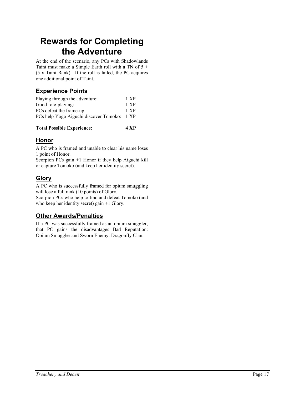# **Rewards for Completing the Adventure**

At the end of the scenario, any PCs with Shadowlands Taint must make a Simple Earth roll with a TN of  $5 +$ (5 x Taint Rank). If the roll is failed, the PC acquires one additional point of Taint.

### **Experience Points**

| Playing through the adventure:         | 1 XP |
|----------------------------------------|------|
| Good role-playing:                     | 1 XP |
| PCs defeat the frame-up:               | 1 XP |
| PCs help Yogo Aiguchi discover Tomoko: | 1 XP |
|                                        |      |

| <b>Total Possible Experience:</b> | 4 XP |
|-----------------------------------|------|
|-----------------------------------|------|

### **Honor**

A PC who is framed and unable to clear his name loses 1 point of Honor.

Scorpion PCs gain +1 Honor if they help Aiguchi kill or capture Tomoko (and keep her identity secret).

# **Glory**

A PC who is successfully framed for opium smuggling will lose a full rank (10 points) of Glory.

Scorpion PCs who help to find and defeat Tomoko (and who keep her identity secret) gain +1 Glory.

### **Other Awards/Penalties**

If a PC was successfully framed as an opium smuggler, that PC gains the disadvantages Bad Reputation: Opium Smuggler and Sworn Enemy: Dragonfly Clan.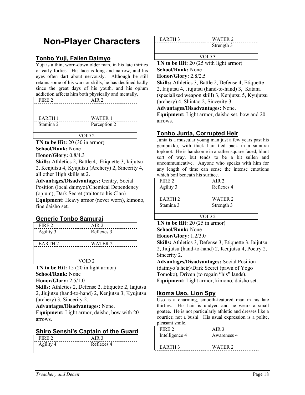# **Non-Player Characters**

#### **Tonbo Yuji, Fallen Daimyo**

Yuji is a thin, worn-down older man, in his late thirties or early forties. His face is long and narrow, and his eyes often dart about nervously. Although he still retains some of his warrior skills, he has declined badly since the great days of his youth, and his opium addiction affects him both physically and mentally.

| FIRE 2        | AIR 2        |
|---------------|--------------|
|               |              |
|               |              |
| <b>EARTH1</b> | WATER 1      |
| Stamina 2     | Perception 2 |
|               |              |
| VOID 2        |              |

**TN to be Hit:** 20 (30 in armor) **School/Rank:** None

**Honor/Glory:** 0.8/4.3

fine daisho set.

**Skills:** Athletics 2, Battle 4, Etiquette 3, Iaijutsu 2, Kenjutsu 4, Kyujutsu (Archery) 2, Sincerity 4, all other High skills at 2.

**Advantages/Disadvantages:** Gentry, Social Position (local daimyo)/Chemical Dependency (opium), Dark Secret (traitor to his Clan) **Equipment:** Heavy armor (never worn), kimono,

#### **Generic Tonbo Samurai**

| FIRE 2             | AIR 2      |
|--------------------|------------|
| Agility 3          | Reflexes 3 |
| EARTH <sub>2</sub> | WATER 2    |
| VOID 2             |            |

**TN to be Hit:** 15 (20 in light armor) **School/Rank:** None

**Honor/Glory:** 2.5/1.0

**Skills:** Athletics 2, Defense 2, Etiquette 2, Iaijutsu 2, Jiujutsu (hand-to-hand) 2, Kenjutsu 3, Kyujutsu (archery) 3, Sincerity 2.

**Advantages/Disadvantages:** None.

**Equipment:** Light armor, daisho, bow with 20 arrows.

#### **Shiro Senshi's Captain of the Guard**

| FIRE :  | $\cdot$ IR $\cdot$ |
|---------|--------------------|
| Agility | Reflexes 4         |
|         |                    |

| EARTH <sub>3</sub> | WATER 2    |
|--------------------|------------|
|                    | Strength 3 |
|                    |            |
| VOID <sub>3</sub>  |            |

**TN to be Hit:** 20 (25 with light armor) **School/Rank:** None

**Honor/Glory:** 2.8/2.5

**Skills:** Athletics 3, Battle 2, Defense 4, Etiquette 2, Iaijutsu 4, Jiujutsu (hand-to-hand) 3, Katana (specialized weapon skill) 3, Kenjutsu 5, Kyujutsu (archery) 4, Shintao 2, Sincerity 3.

**Advantages/Disadvantages:** None.

**Equipment:** Light armor, daisho set, bow and 20 arrows.

#### **Tonbo Junta, Corrupted Heir**

Junta is a muscular young man just a few years past his gempukku, with thick hair tied back in a samurai topknot. He is handsome in a rather square-faced, blunt sort of way, but tends to be a bit sullen and uncommunicative. Anyone who speaks with him for any length of time can sense the intense emotions which boil beneath his surface.

| FIRE 2             | AIR 2      |
|--------------------|------------|
| Agility 3          | Reflexes 4 |
|                    |            |
| EARTH <sub>2</sub> | WATER 2    |
| Stamina 3          | Strength 3 |
|                    |            |
| VOID 2             |            |
|                    |            |

**TN to be Hit:** 20 (25 in armor) **School/Rank:** None

**Honor/Glory:** 1.2/3.0

**Skills:** Athletics 3, Defense 3, Etiquette 3, Iaijutsu 2, Jiujutsu (hand-to-hand) 2, Kenjutsu 4, Poetry 2, Sincerity 2.

**Advantages/Disadvantages:** Social Position (daimyo's heir)/Dark Secret (pawn of Yogo Tomoko), Driven (to regain "his" lands). **Equipment:** Light armor, kimono, daisho set.

#### **Ikoma Uso, Lion Spy**

Uso is a charming, smooth-featured man in his late thirties. His hair is undyed and he wears a small goatee. He is not particularly athletic and dresses like a courtier, not a bushi. His usual expression is a polite, pleasant smile.

| FIRE 2             | AIR 3       |
|--------------------|-------------|
| Intelligence 4     | Awareness 4 |
| EARTH <sub>3</sub> | WATER 2     |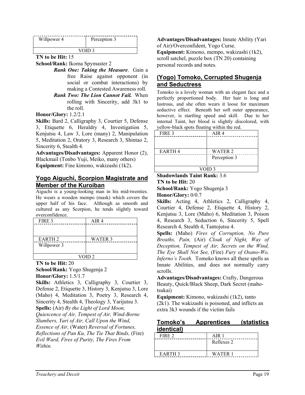| Willpower 4 | Perception 3 |
|-------------|--------------|
|             |              |

**TN to be Hit:** 15

**School/Rank:** Ikoma Spymaster 2

- *Rank One: Taking the Measure*. Gain a free Raise against opponent (in social or combat interactions) by making a Contested Awareness roll.
- *Rank Two: The Lion Cannot Fail.* When rolling with Sincerity, add 3k1 to the roll.

#### **Honor/Glory:** 1.2/2.1

**Skills:** Bard 2, Calligraphy 3, Courtier 5, Defense 3, Etiquette 6, Heraldry 4, Investigation 5, Kenjutsu 4, Law 3, Lore (many) 2, Manipulation 5, Meditation 2, Oratory 3, Research 3, Shintao 2, Sincerity 6, Stealth 4.

**Advantages/Disadvantages:** Apparent Honor (2), Blackmail (Tonbo Yuji, Meiko, many others) **Equipment:** Fine kimono, wakizashi (1k2).

#### **Yogo Aiguchi, Scorpion Magistrate and Member of the Kuroiban**

Aiguchi is a young-looking man in his mid-twenties. He wears a wooden mempo (mask) which covers the upper half of his face. Although as smooth and cultured as any Scorpion, he tends slightly toward overconfidence.

| FIRE 3            | AIR <sub>4</sub> |
|-------------------|------------------|
|                   |                  |
|                   |                  |
| <b>EARTH 2</b>    | <b>WATER 3</b>   |
| Willpower 3       |                  |
|                   |                  |
| VOID <sub>2</sub> |                  |

**TN to be Hit:** 20

**School/Rank:** Yogo Shugenja 2 **Honor/Glory:** 1.5/1.7

**Skills:** Athletics 3, Calligraphy 3, Courtier 3, Defense 2, Etiquette 3, History 3, Kenjutsu 3, Lore (Maho) 4, Meditation 3, Poetry 3, Research 4, Sincerity 4, Stealth 4, Theology 3, Yarijutsu 3. **Spells:** (Air) *By the Light of Lord Moon, Quiescence of Air, Tempest of Air, Wind-Borne Slumbers, Yari of Air, Call Upon the Wind, Essence of Air,* (Water) *Reversal of Fortunes, Reflections of Pan Ku, The Tie That Binds,* (Fire) *Evil Ward, Fires of Purity, The Fires From Within.*

**Advantages/Disadvantages:** Innate Ability (Yari of Air)/Overconfident, Yogo Curse.

**Equipment:** Kimono, mempo, wakizashi (1k2), scroll satchel, puzzle box (TN 20) containing personal records and notes.

### **(Yogo) Tomoko, Corrupted Shugenja and Seductress**

Tomoko is a lovely woman with an elegant face and a perfectly proportioned body. Her hair is long and lustrous, and she often wears it loose for maximum seductive effect. Beneath her soft outer appearance, however, is startling speed and skill. Due to her internal Taint, her blood is slightly discolored, with yellow-black spots floating within the red.

| FIRE 3        |  | AIR <sub>4</sub> |
|---------------|--|------------------|
|               |  |                  |
|               |  |                  |
| <b>EARTH4</b> |  | <b>WATER 2</b>   |
|               |  | Perception 3     |
|               |  |                  |
| VOID 3        |  |                  |
|               |  |                  |

#### **Shadowlands Taint Rank:** 3.6 **TN to be Hit:** 20

**School/Rank:** Yogo Shugenja 3 **Honor/Glory:** 0/0.7

**Skills:** Acting 4, Athletics 2, Calligraphy 4, Courtier 4, Defense 2, Etiquette 4, History 2, Kenjutsu 3, Lore (Maho) 6, Meditation 3, Poison 4, Research 3, Seduction 6, Sincerity 5, Spell Research 4, Stealth 4, Tantojutsu 4.

**Spells:** (Maho) *Fires of Corruption, No Pure Breaths, Pain,* (Air) *Cloak of Night, Way of Deception, Tempest of Air, Secrets on the Wind, The Eye Shall Not See,* (Fire) *Fury of Osano-Wo, Inferno's Tooth.* Tomoko knows all these spells as Innate Abilities, and does not normally carry scrolls.

**Advantages/Disadvantages:** Crafty, Dangerous Beauty, Quick/Black Sheep, Dark Secret (mahotsukai)

**Equipment:** Kimono, wakizashi (1k2), tanto (2k1). The wakizashi is poisoned, and inflicts an extra 3k3 wounds if the victim fails

#### **Tomoko's Apprentices (statistics identical)**

| $\triangle$ IR |
|----------------|
| Reflexes 2     |
|                |
| WATER 1        |
|                |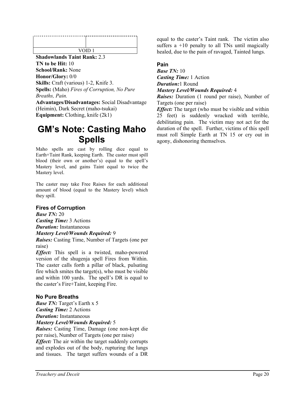**Shadowlands Taint Rank:** 2.3 **TN to be Hit:** 10 **School/Rank:** None **Honor/Glory:** 0/0 **Skills:** Craft (various) 1-2, Knife 3.

**Spells:** (Maho) *Fires of Corruption, No Pure Breaths, Pain.*

**Advantages/Disadvantages:** Social Disadvantage (Heimin), Dark Secret (maho-tsukai) **Equipment:** Clothing, knife (2k1)

# **GM's Note: Casting Maho Spells**

Maho spells are cast by rolling dice equal to Earth+Taint Rank, keeping Earth. The caster must spill blood (their own or another's) equal to the spell's Mastery level, and gains Taint equal to twice the Mastery level.

The caster may take Free Raises for each additional amount of blood (equal to the Mastery level) which they spill.

#### **Fires of Corruption**

*Base TN:* 20 *Casting Time:* 3 Actions *Duration:* Instantaneous *Mastery Level/Wounds Required:* 9

*Raises:* Casting Time, Number of Targets (one per raise)

*Effect:* This spell is a twisted, maho-powered version of the shugenja spell Fires from Within. The caster calls forth a pillar of black, pulsating fire which smites the target $(s)$ , who must be visible and within 100 yards. The spell's DR is equal to the caster's Fire+Taint, keeping Fire.

#### **No Pure Breaths**

*Base TN:* Target's Earth x 5 *Casting Time:* 2 Actions *Duration:* Instantaneous

*Mastery Level/Wounds Required:* 5

*Raises:* Casting Time, Damage (one non-kept die per raise), Number of Targets (one per raise)

*Effect:* The air within the target suddenly corrupts and explodes out of the body, rupturing the lungs and tissues. The target suffers wounds of a DR

equal to the caster's Taint rank. The victim also suffers  $a +10$  penalty to all TNs until magically healed, due to the pain of ravaged, Tainted lungs.

#### **Pain**

*Base TN:* 10 *Casting Time:* 1 Action *Duration:*1 Round *Mastery Level/Wounds Required:* 4

*Raises:* Duration (1 round per raise), Number of Targets (one per raise)

*Effect:* The target (who must be visible and within 25 feet) is suddenly wracked with terrible, debilitating pain. The victim may not act for the duration of the spell. Further, victims of this spell must roll Simple Earth at TN 15 or cry out in agony, dishonoring themselves.